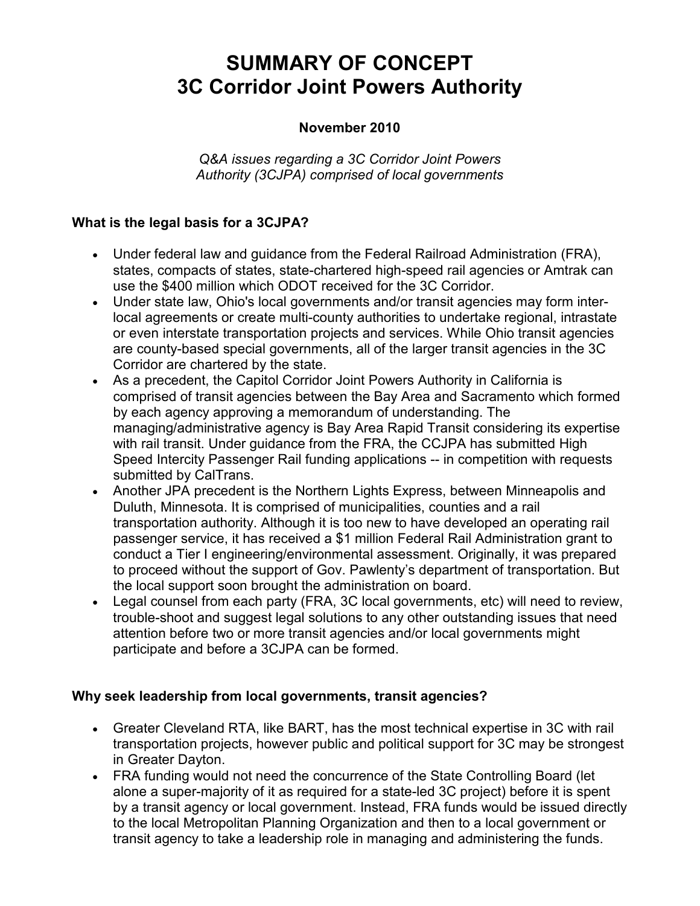# **SUMMARY OF CONCEPT 3C Corridor Joint Powers Authority**

#### **November 2010**

*Q&A issues regarding a 3C Corridor Joint Powers Authority (3CJPA) comprised of local governments*

#### **What is the legal basis for a 3CJPA?**

- Under federal law and guidance from the Federal Railroad Administration (FRA), states, compacts of states, state-chartered high-speed rail agencies or Amtrak can use the \$400 million which ODOT received for the 3C Corridor.
- Under state law, Ohio's local governments and/or transit agencies may form interlocal agreements or create multi-county authorities to undertake regional, intrastate or even interstate transportation projects and services. While Ohio transit agencies are county-based special governments, all of the larger transit agencies in the 3C Corridor are chartered by the state.
- As a precedent, the Capitol Corridor Joint Powers Authority in California is comprised of transit agencies between the Bay Area and Sacramento which formed by each agency approving a memorandum of understanding. The managing/administrative agency is Bay Area Rapid Transit considering its expertise with rail transit. Under guidance from the FRA, the CCJPA has submitted High Speed Intercity Passenger Rail funding applications -- in competition with requests submitted by CalTrans.
- Another JPA precedent is the Northern Lights Express, between Minneapolis and Duluth, Minnesota. It is comprised of municipalities, counties and a rail transportation authority. Although it is too new to have developed an operating rail passenger service, it has received a \$1 million Federal Rail Administration grant to conduct a Tier I engineering/environmental assessment. Originally, it was prepared to proceed without the support of Gov. Pawlenty's department of transportation. But the local support soon brought the administration on board.
- Legal counsel from each party (FRA, 3C local governments, etc) will need to review, trouble-shoot and suggest legal solutions to any other outstanding issues that need attention before two or more transit agencies and/or local governments might participate and before a 3CJPA can be formed.

#### **Why seek leadership from local governments, transit agencies?**

- Greater Cleveland RTA, like BART, has the most technical expertise in 3C with rail transportation projects, however public and political support for 3C may be strongest in Greater Dayton.
- FRA funding would not need the concurrence of the State Controlling Board (let alone a super-majority of it as required for a state-led 3C project) before it is spent by a transit agency or local government. Instead, FRA funds would be issued directly to the local Metropolitan Planning Organization and then to a local government or transit agency to take a leadership role in managing and administering the funds.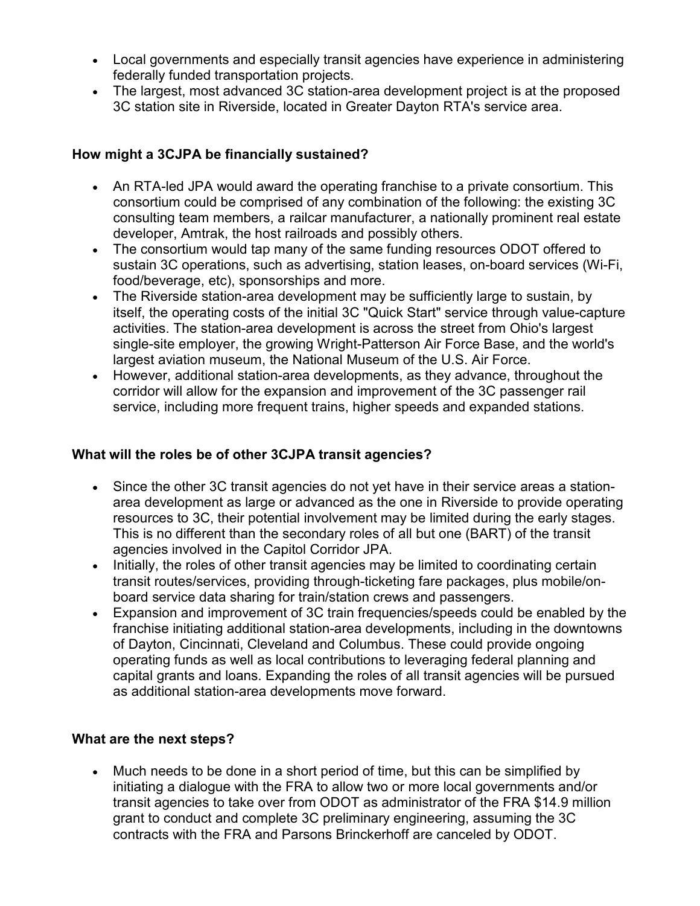- Local governments and especially transit agencies have experience in administering federally funded transportation projects.
- The largest, most advanced 3C station-area development project is at the proposed 3C station site in Riverside, located in Greater Dayton RTA's service area.

## **How might a 3CJPA be financially sustained?**

- An RTA-led JPA would award the operating franchise to a private consortium. This consortium could be comprised of any combination of the following: the existing 3C consulting team members, a railcar manufacturer, a nationally prominent real estate developer, Amtrak, the host railroads and possibly others.
- The consortium would tap many of the same funding resources ODOT offered to sustain 3C operations, such as advertising, station leases, on-board services (Wi-Fi, food/beverage, etc), sponsorships and more.
- The Riverside station-area development may be sufficiently large to sustain, by itself, the operating costs of the initial 3C "Quick Start" service through value-capture activities. The station-area development is across the street from Ohio's largest single-site employer, the growing Wright-Patterson Air Force Base, and the world's largest aviation museum, the National Museum of the U.S. Air Force.
- However, additional station-area developments, as they advance, throughout the corridor will allow for the expansion and improvement of the 3C passenger rail service, including more frequent trains, higher speeds and expanded stations.

### **What will the roles be of other 3CJPA transit agencies?**

- Since the other 3C transit agencies do not yet have in their service areas a stationarea development as large or advanced as the one in Riverside to provide operating resources to 3C, their potential involvement may be limited during the early stages. This is no different than the secondary roles of all but one (BART) of the transit agencies involved in the Capitol Corridor JPA.
- Initially, the roles of other transit agencies may be limited to coordinating certain transit routes/services, providing through-ticketing fare packages, plus mobile/onboard service data sharing for train/station crews and passengers.
- Expansion and improvement of 3C train frequencies/speeds could be enabled by the franchise initiating additional station-area developments, including in the downtowns of Dayton, Cincinnati, Cleveland and Columbus. These could provide ongoing operating funds as well as local contributions to leveraging federal planning and capital grants and loans. Expanding the roles of all transit agencies will be pursued as additional station-area developments move forward.

## **What are the next steps?**

• Much needs to be done in a short period of time, but this can be simplified by initiating a dialogue with the FRA to allow two or more local governments and/or transit agencies to take over from ODOT as administrator of the FRA \$14.9 million grant to conduct and complete 3C preliminary engineering, assuming the 3C contracts with the FRA and Parsons Brinckerhoff are canceled by ODOT.